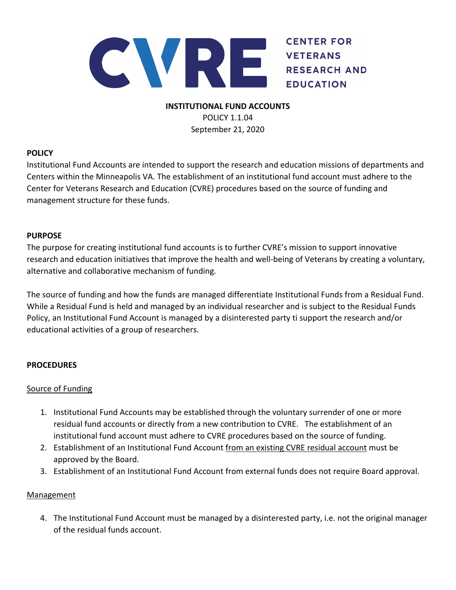

# **INSTITUTIONAL FUND ACCOUNTS** POLICY 1.1.04

September 21, 2020

## **POLICY**

Institutional Fund Accounts are intended to support the research and education missions of departments and Centers within the Minneapolis VA. The establishment of an institutional fund account must adhere to the Center for Veterans Research and Education (CVRE) procedures based on the source of funding and management structure for these funds.

## **PURPOSE**

The purpose for creating institutional fund accounts is to further CVRE's mission to support innovative research and education initiatives that improve the health and well‐being of Veterans by creating a voluntary, alternative and collaborative mechanism of funding.

The source of funding and how the funds are managed differentiate Institutional Funds from a Residual Fund. While a Residual Fund is held and managed by an individual researcher and is subject to the Residual Funds Policy, an Institutional Fund Account is managed by a disinterested party ti support the research and/or educational activities of a group of researchers.

## **PROCEDURES**

## Source of Funding

- 1. Institutional Fund Accounts may be established through the voluntary surrender of one or more residual fund accounts or directly from a new contribution to CVRE. The establishment of an institutional fund account must adhere to CVRE procedures based on the source of funding.
- 2. Establishment of an Institutional Fund Account from an existing CVRE residual account must be approved by the Board.
- 3. Establishment of an Institutional Fund Account from external funds does not require Board approval.

## **Management**

4. The Institutional Fund Account must be managed by a disinterested party, i.e. not the original manager of the residual funds account.